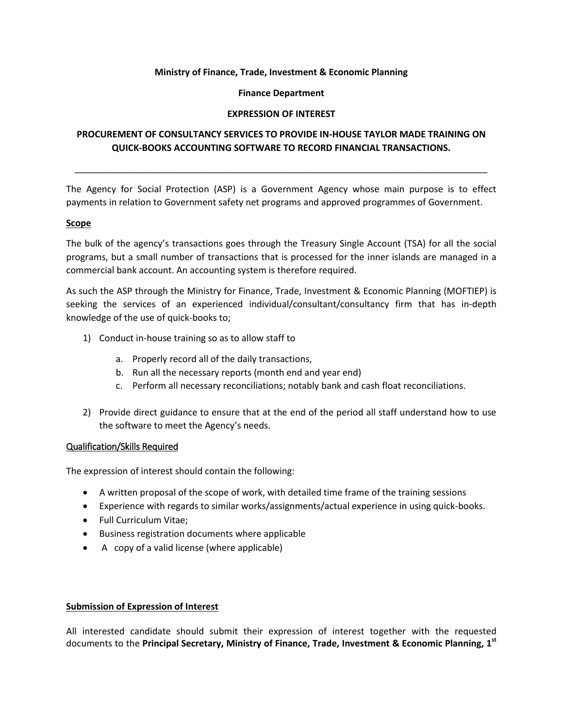## **Ministry of Finance, Trade, Investment & Economic Planning**

## **Finance Department**

## **EXPRESSION OF INTEREST**

# **PROCUREMENT OF CONSULTANCY SERVICES TO PROVIDE IN-HOUSE TAYLOR MADE TRAINING ON QUICK-BOOKS ACCOUNTING SOFTWARE TO RECORD FINANCIAL TRANSACTIONS.**

\_\_\_\_\_\_\_\_\_\_\_\_\_\_\_\_\_\_\_\_\_\_\_\_\_\_\_\_\_\_\_\_\_\_\_\_\_\_\_\_\_\_\_\_\_\_\_\_\_\_\_\_\_\_\_\_\_\_\_\_\_\_\_\_\_\_\_\_\_\_\_\_\_\_\_\_\_\_\_\_\_\_

The Agency for Social Protection (ASP) is a Government Agency whose main purpose is to effect payments in relation to Government safety net programs and approved programmes of Government.

## **Scope**

The bulk of the agency's transactions goes through the Treasury Single Account (TSA) for all the social programs, but a small number of transactions that is processed for the inner islands are managed in a commercial bank account. An accounting system is therefore required.

As such the ASP through the Ministry for Finance, Trade, Investment & Economic Planning (MOFTIEP) is seeking the services of an experienced individual/consultant/consultancy firm that has in-depth knowledge of the use of quick-books to;

- 1) Conduct in-house training so as to allow staff to
	- a. Properly record all of the daily transactions,
	- b. Run all the necessary reports (month end and year end)
	- c. Perform all necessary reconciliations; notably bank and cash float reconciliations.
- 2) Provide direct guidance to ensure that at the end of the period all staff understand how to use the software to meet the Agency's needs.

## Qualification/Skills Required

The expression of interest should contain the following:

- A written proposal of the scope of work, with detailed time frame of the training sessions
- Experience with regards to similar works/assignments/actual experience in using quick-books.
- Full Curriculum Vitae;
- Business registration documents where applicable
- A copy of a valid license (where applicable)

## **Submission of Expression of Interest**

All interested candidate should submit their expression of interest together with the requested documents to the **Principal Secretary, Ministry of Finance, Trade, Investment & Economic Planning, 1 st**